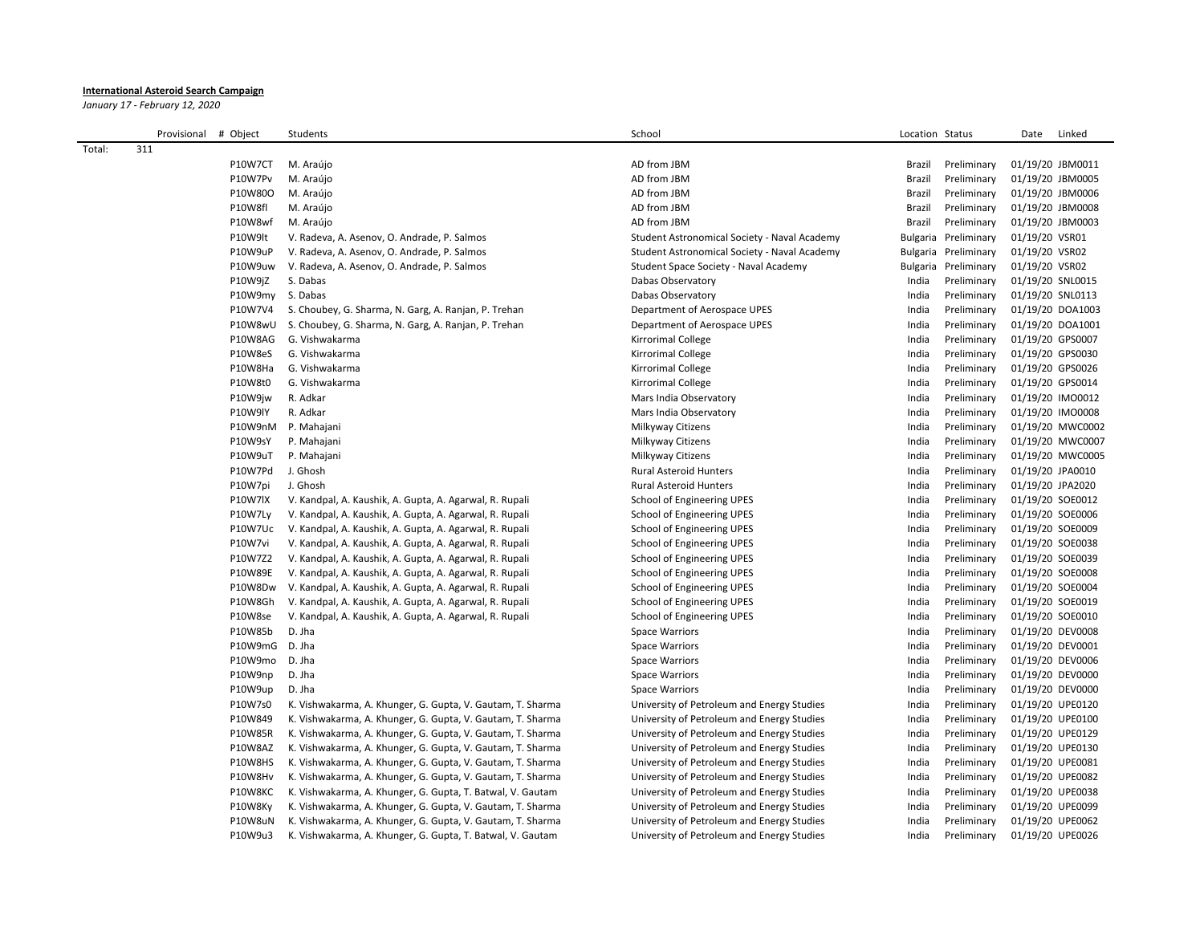## **International Asteroid Search Campaign**

*January 17 - February 12, 2020*

|        | Provisional # Object |         | Students                                                   | School                                       | Location Status      |             | Date             | Linked           |
|--------|----------------------|---------|------------------------------------------------------------|----------------------------------------------|----------------------|-------------|------------------|------------------|
| Total: | 311                  |         |                                                            |                                              |                      |             |                  |                  |
|        |                      | P10W7CT | M. Araújo                                                  | AD from JBM                                  | Brazil               | Preliminary | 01/19/20 JBM0011 |                  |
|        |                      | P10W7Pv | M. Araújo                                                  | AD from JBM                                  | Brazil               | Preliminary | 01/19/20 JBM0005 |                  |
|        |                      | P10W80O | M. Araújo                                                  | AD from JBM                                  | Brazil               | Preliminary | 01/19/20 JBM0006 |                  |
|        |                      | P10W8fl | M. Araújo                                                  | AD from JBM                                  | Brazil               | Preliminary | 01/19/20 JBM0008 |                  |
|        |                      | P10W8wf | M. Araújo                                                  | AD from JBM                                  | Brazil               | Preliminary | 01/19/20 JBM0003 |                  |
|        |                      | P10W9lt | V. Radeva, A. Asenov, O. Andrade, P. Salmos                | Student Astronomical Society - Naval Academy | Bulgaria Preliminary |             | 01/19/20 VSR01   |                  |
|        |                      | P10W9uP | V. Radeva, A. Asenov, O. Andrade, P. Salmos                | Student Astronomical Society - Naval Academy | Bulgaria Preliminary |             | 01/19/20 VSR02   |                  |
|        |                      | P10W9uw | V. Radeva, A. Asenov, O. Andrade, P. Salmos                | Student Space Society - Naval Academy        | Bulgaria Preliminary |             | 01/19/20 VSR02   |                  |
|        |                      | P10W9jZ | S. Dabas                                                   | Dabas Observatory                            | India                | Preliminary | 01/19/20 SNL0015 |                  |
|        |                      | P10W9my | S. Dabas                                                   | Dabas Observatory                            | India                | Preliminary | 01/19/20 SNL0113 |                  |
|        |                      | P10W7V4 | S. Choubey, G. Sharma, N. Garg, A. Ranjan, P. Trehan       | Department of Aerospace UPES                 | India                | Preliminary | 01/19/20 DOA1003 |                  |
|        |                      | P10W8wU | S. Choubey, G. Sharma, N. Garg, A. Ranjan, P. Trehan       | Department of Aerospace UPES                 | India                | Preliminary | 01/19/20 DOA1001 |                  |
|        |                      | P10W8AG | G. Vishwakarma                                             | Kirrorimal College                           | India                | Preliminary | 01/19/20 GPS0007 |                  |
|        |                      | P10W8eS | G. Vishwakarma                                             | Kirrorimal College                           | India                | Preliminary | 01/19/20 GPS0030 |                  |
|        |                      | P10W8Ha | G. Vishwakarma                                             | Kirrorimal College                           | India                | Preliminary | 01/19/20 GPS0026 |                  |
|        |                      | P10W8t0 | G. Vishwakarma                                             | Kirrorimal College                           | India                | Preliminary | 01/19/20 GPS0014 |                  |
|        |                      | P10W9jw | R. Adkar                                                   | Mars India Observatory                       | India                | Preliminary | 01/19/20 IMO0012 |                  |
|        |                      | P10W9IY | R. Adkar                                                   | Mars India Observatory                       | India                | Preliminary | 01/19/20 IMO0008 |                  |
|        |                      | P10W9nM | P. Mahajani                                                | Milkyway Citizens                            | India                | Preliminary |                  | 01/19/20 MWC0002 |
|        |                      | P10W9sY | P. Mahajani                                                | Milkyway Citizens                            | India                | Preliminary |                  | 01/19/20 MWC0007 |
|        |                      | P10W9uT | P. Mahajani                                                | Milkyway Citizens                            | India                | Preliminary |                  | 01/19/20 MWC0005 |
|        |                      | P10W7Pd | J. Ghosh                                                   | <b>Rural Asteroid Hunters</b>                | India                | Preliminary | 01/19/20 JPA0010 |                  |
|        |                      | P10W7pi | J. Ghosh                                                   | <b>Rural Asteroid Hunters</b>                | India                | Preliminary | 01/19/20 JPA2020 |                  |
|        |                      | P10W7lX | V. Kandpal, A. Kaushik, A. Gupta, A. Agarwal, R. Rupali    | School of Engineering UPES                   | India                | Preliminary | 01/19/20 SOE0012 |                  |
|        |                      | P10W7Ly | V. Kandpal, A. Kaushik, A. Gupta, A. Agarwal, R. Rupali    | School of Engineering UPES                   | India                | Preliminary | 01/19/20 SOE0006 |                  |
|        |                      | P10W7Uc | V. Kandpal, A. Kaushik, A. Gupta, A. Agarwal, R. Rupali    | School of Engineering UPES                   | India                | Preliminary | 01/19/20 SOE0009 |                  |
|        |                      | P10W7vi | V. Kandpal, A. Kaushik, A. Gupta, A. Agarwal, R. Rupali    | School of Engineering UPES                   | India                | Preliminary | 01/19/20 SOE0038 |                  |
|        |                      | P10W7Z2 | V. Kandpal, A. Kaushik, A. Gupta, A. Agarwal, R. Rupali    | School of Engineering UPES                   | India                | Preliminary | 01/19/20 SOE0039 |                  |
|        |                      | P10W89E | V. Kandpal, A. Kaushik, A. Gupta, A. Agarwal, R. Rupali    | School of Engineering UPES                   | India                | Preliminary | 01/19/20 SOE0008 |                  |
|        |                      | P10W8Dw | V. Kandpal, A. Kaushik, A. Gupta, A. Agarwal, R. Rupali    | School of Engineering UPES                   | India                | Preliminary | 01/19/20 SOE0004 |                  |
|        |                      | P10W8Gh | V. Kandpal, A. Kaushik, A. Gupta, A. Agarwal, R. Rupali    | School of Engineering UPES                   | India                | Preliminary | 01/19/20 SOE0019 |                  |
|        |                      | P10W8se | V. Kandpal, A. Kaushik, A. Gupta, A. Agarwal, R. Rupali    | School of Engineering UPES                   | India                | Preliminary | 01/19/20 SOE0010 |                  |
|        |                      | P10W85b | D. Jha                                                     | <b>Space Warriors</b>                        | India                | Preliminary | 01/19/20 DEV0008 |                  |
|        |                      | P10W9mG | D. Jha                                                     | <b>Space Warriors</b>                        | India                | Preliminary | 01/19/20 DEV0001 |                  |
|        |                      | P10W9mo | D. Jha                                                     | <b>Space Warriors</b>                        | India                | Preliminary | 01/19/20 DEV0006 |                  |
|        |                      | P10W9np | D. Jha                                                     | <b>Space Warriors</b>                        | India                | Preliminary | 01/19/20 DEV0000 |                  |
|        |                      | P10W9up | D. Jha                                                     | <b>Space Warriors</b>                        | India                | Preliminary | 01/19/20 DEV0000 |                  |
|        |                      | P10W7s0 | K. Vishwakarma, A. Khunger, G. Gupta, V. Gautam, T. Sharma | University of Petroleum and Energy Studies   | India                | Preliminary | 01/19/20 UPE0120 |                  |
|        |                      | P10W849 | K. Vishwakarma, A. Khunger, G. Gupta, V. Gautam, T. Sharma | University of Petroleum and Energy Studies   | India                | Preliminary | 01/19/20 UPE0100 |                  |
|        |                      | P10W85R | K. Vishwakarma, A. Khunger, G. Gupta, V. Gautam, T. Sharma | University of Petroleum and Energy Studies   | India                | Preliminary | 01/19/20 UPE0129 |                  |
|        |                      | P10W8AZ | K. Vishwakarma, A. Khunger, G. Gupta, V. Gautam, T. Sharma | University of Petroleum and Energy Studies   | India                | Preliminary | 01/19/20 UPE0130 |                  |
|        |                      | P10W8HS | K. Vishwakarma, A. Khunger, G. Gupta, V. Gautam, T. Sharma | University of Petroleum and Energy Studies   | India                | Preliminary | 01/19/20 UPE0081 |                  |
|        |                      | P10W8Hv | K. Vishwakarma, A. Khunger, G. Gupta, V. Gautam, T. Sharma | University of Petroleum and Energy Studies   | India                | Preliminary | 01/19/20 UPE0082 |                  |
|        |                      | P10W8KC | K. Vishwakarma, A. Khunger, G. Gupta, T. Batwal, V. Gautam | University of Petroleum and Energy Studies   | India                | Preliminary | 01/19/20 UPE0038 |                  |
|        |                      | P10W8Ky | K. Vishwakarma, A. Khunger, G. Gupta, V. Gautam, T. Sharma | University of Petroleum and Energy Studies   | India                | Preliminary | 01/19/20 UPE0099 |                  |
|        |                      | P10W8uN | K. Vishwakarma, A. Khunger, G. Gupta, V. Gautam, T. Sharma | University of Petroleum and Energy Studies   | India                | Preliminary | 01/19/20 UPE0062 |                  |
|        |                      | P10W9u3 | K. Vishwakarma, A. Khunger, G. Gupta, T. Batwal, V. Gautam | University of Petroleum and Energy Studies   | India                | Preliminary | 01/19/20 UPE0026 |                  |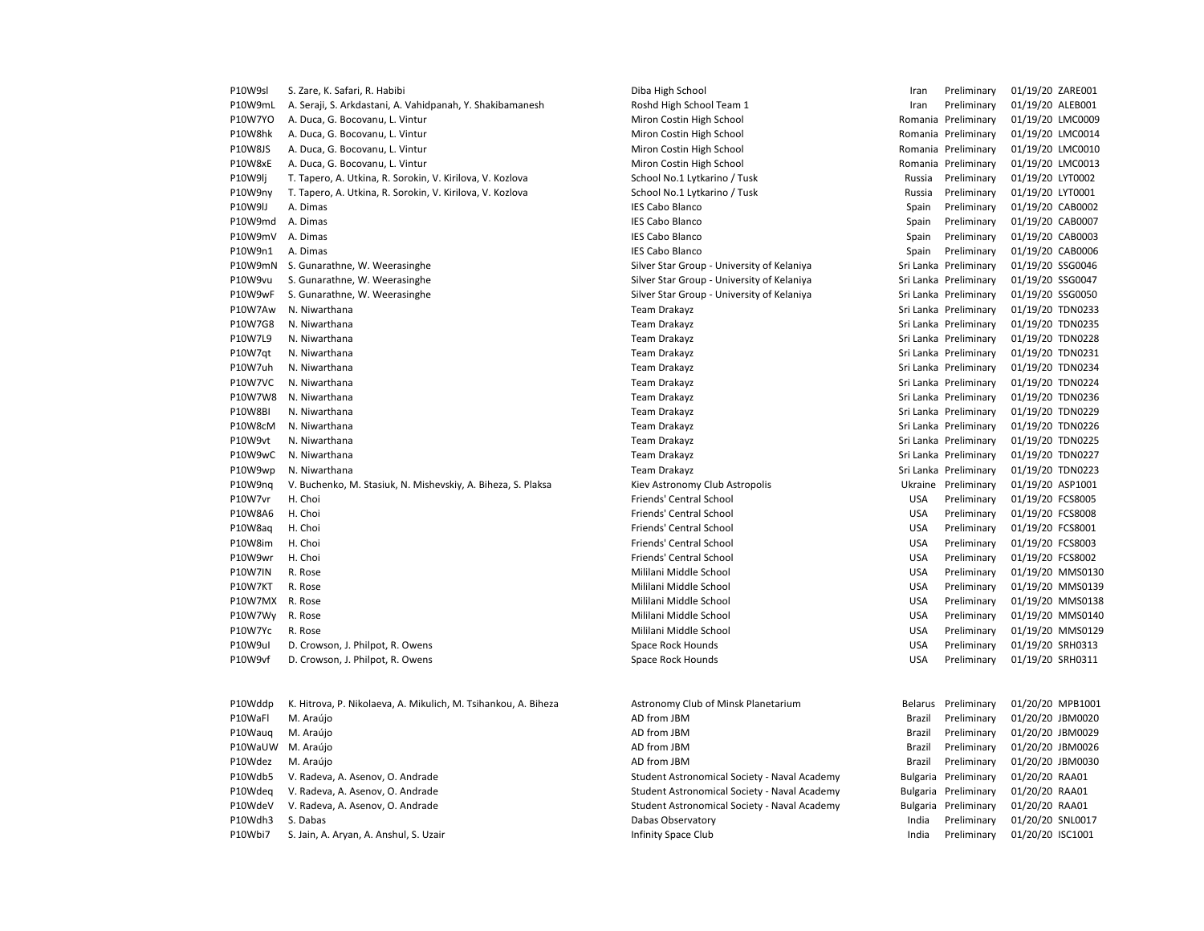| P10W9sl        | S. Zare, K. Safari, R. Habibi                                  | Diba High School                             | Iran       | Preliminary           | 01/19/20 ZARE001 |
|----------------|----------------------------------------------------------------|----------------------------------------------|------------|-----------------------|------------------|
| P10W9mL        | A. Seraji, S. Arkdastani, A. Vahidpanah, Y. Shakibamanesh      | Roshd High School Team 1                     | Iran       | Preliminary           | 01/19/20 ALEB001 |
| P10W7YO        | A. Duca, G. Bocovanu, L. Vintur                                | Miron Costin High School                     |            | Romania Preliminary   | 01/19/20 LMC0009 |
| P10W8hk        | A. Duca, G. Bocovanu, L. Vintur                                | Miron Costin High School                     |            | Romania Preliminary   | 01/19/20 LMC0014 |
| P10W8JS        | A. Duca, G. Bocovanu, L. Vintur                                | Miron Costin High School                     |            | Romania Preliminary   | 01/19/20 LMC0010 |
| P10W8xE        | A. Duca, G. Bocovanu, L. Vintur                                | Miron Costin High School                     |            | Romania Preliminary   | 01/19/20 LMC0013 |
| P10W9lj        | T. Tapero, A. Utkina, R. Sorokin, V. Kirilova, V. Kozlova      | School No.1 Lytkarino / Tusk                 | Russia     | Preliminary           | 01/19/20 LYT0002 |
| P10W9ny        | T. Tapero, A. Utkina, R. Sorokin, V. Kirilova, V. Kozlova      | School No.1 Lytkarino / Tusk                 | Russia     | Preliminary           | 01/19/20 LYT0001 |
| P10W9IJ        | A. Dimas                                                       | <b>IES Cabo Blanco</b>                       | Spain      | Preliminary           | 01/19/20 CAB0002 |
| P10W9md        | A. Dimas                                                       | <b>IES Cabo Blanco</b>                       | Spain      | Preliminary           | 01/19/20 CAB0007 |
| P10W9mV        | A. Dimas                                                       | <b>IES Cabo Blanco</b>                       | Spain      | Preliminary           | 01/19/20 CAB0003 |
| P10W9n1        | A. Dimas                                                       | <b>IES Cabo Blanco</b>                       | Spain      | Preliminary           | 01/19/20 CAB0006 |
| P10W9mN        | S. Gunarathne, W. Weerasinghe                                  | Silver Star Group - University of Kelaniya   |            | Sri Lanka Preliminary | 01/19/20 SSG0046 |
| P10W9vu        | S. Gunarathne, W. Weerasinghe                                  | Silver Star Group - University of Kelaniya   |            | Sri Lanka Preliminary | 01/19/20 SSG0047 |
| P10W9wF        | S. Gunarathne, W. Weerasinghe                                  | Silver Star Group - University of Kelaniya   |            | Sri Lanka Preliminary | 01/19/20 SSG0050 |
| P10W7Aw        | N. Niwarthana                                                  | Team Drakayz                                 |            | Sri Lanka Preliminary | 01/19/20 TDN0233 |
| P10W7G8        | N. Niwarthana                                                  | <b>Team Drakayz</b>                          |            | Sri Lanka Preliminary | 01/19/20 TDN0235 |
| P10W7L9        | N. Niwarthana                                                  | <b>Team Drakayz</b>                          |            | Sri Lanka Preliminary | 01/19/20 TDN0228 |
| P10W7qt        | N. Niwarthana                                                  | <b>Team Drakayz</b>                          |            | Sri Lanka Preliminary | 01/19/20 TDN0231 |
| P10W7uh        | N. Niwarthana                                                  | Team Drakayz                                 |            | Sri Lanka Preliminary | 01/19/20 TDN0234 |
| P10W7VC        | N. Niwarthana                                                  | <b>Team Drakayz</b>                          |            | Sri Lanka Preliminary | 01/19/20 TDN0224 |
| P10W7W8        | N. Niwarthana                                                  | Team Drakayz                                 |            | Sri Lanka Preliminary | 01/19/20 TDN0236 |
| P10W8BI        | N. Niwarthana                                                  | <b>Team Drakayz</b>                          |            | Sri Lanka Preliminary | 01/19/20 TDN0229 |
| P10W8cM        | N. Niwarthana                                                  | <b>Team Drakayz</b>                          |            | Sri Lanka Preliminary | 01/19/20 TDN0226 |
| P10W9vt        | N. Niwarthana                                                  | <b>Team Drakayz</b>                          |            | Sri Lanka Preliminary | 01/19/20 TDN0225 |
| P10W9wC        | N. Niwarthana                                                  | <b>Team Drakayz</b>                          |            | Sri Lanka Preliminary | 01/19/20 TDN0227 |
| P10W9wp        | N. Niwarthana                                                  | <b>Team Drakayz</b>                          |            | Sri Lanka Preliminary | 01/19/20 TDN0223 |
| P10W9nq        | V. Buchenko, M. Stasiuk, N. Mishevskiy, A. Biheza, S. Plaksa   | Kiev Astronomy Club Astropolis               |            | Ukraine Preliminary   | 01/19/20 ASP1001 |
| P10W7vr        | H. Choi                                                        | Friends' Central School                      | <b>USA</b> | Preliminary           | 01/19/20 FCS8005 |
| P10W8A6        | H. Choi                                                        | Friends' Central School                      | <b>USA</b> | Preliminary           | 01/19/20 FCS8008 |
| P10W8aq        | H. Choi                                                        | <b>Friends' Central School</b>               | <b>USA</b> | Preliminary           | 01/19/20 FCS8001 |
| P10W8im        | H. Choi                                                        | Friends' Central School                      | <b>USA</b> | Preliminary           | 01/19/20 FCS8003 |
| P10W9wr        | H. Choi                                                        | Friends' Central School                      | <b>USA</b> | Preliminary           | 01/19/20 FCS8002 |
| <b>P10W7IN</b> | R. Rose                                                        | Mililani Middle School                       | <b>USA</b> | Preliminary           | 01/19/20 MMS0130 |
| P10W7KT        | R. Rose                                                        | Mililani Middle School                       | <b>USA</b> | Preliminary           | 01/19/20 MMS0139 |
| P10W7MX        | R. Rose                                                        | Mililani Middle School                       | <b>USA</b> | Preliminary           | 01/19/20 MMS0138 |
| P10W7Wy        | R. Rose                                                        | Mililani Middle School                       | <b>USA</b> | Preliminary           | 01/19/20 MMS0140 |
| P10W7Yc        | R. Rose                                                        | Mililani Middle School                       | <b>USA</b> | Preliminary           | 01/19/20 MMS0129 |
| P10W9ul        | D. Crowson, J. Philpot, R. Owens                               | Space Rock Hounds                            | <b>USA</b> | Preliminary           | 01/19/20 SRH0313 |
| P10W9vf        | D. Crowson, J. Philpot, R. Owens                               | Space Rock Hounds                            | <b>USA</b> | Preliminary           | 01/19/20 SRH0311 |
|                |                                                                |                                              |            |                       |                  |
| P10Wddp        | K. Hitrova, P. Nikolaeva, A. Mikulich, M. Tsihankou, A. Biheza | Astronomy Club of Minsk Planetarium          |            | Belarus Preliminary   | 01/20/20 MPB1001 |
| P10WaFl        | M. Araújo                                                      | AD from JBM                                  | Brazil     | Preliminary           | 01/20/20 JBM0020 |
| P10Waug        | M. Araújo                                                      | AD from JBM                                  | Brazil     | Preliminary           | 01/20/20 JBM0029 |
| P10WaUW        | M. Araújo                                                      | AD from JBM                                  | Brazil     | Preliminary           | 01/20/20 JBM0026 |
| P10Wdez        | M. Araújo                                                      | AD from JBM                                  | Brazil     | Preliminary           | 01/20/20 JBM0030 |
| P10Wdb5        | V. Radeva, A. Asenov, O. Andrade                               | Student Astronomical Society - Naval Academy |            | Bulgaria Preliminary  | 01/20/20 RAA01   |
| P10Wdeq        | V. Radeva, A. Asenov, O. Andrade                               | Student Astronomical Society - Naval Academy |            | Bulgaria Preliminary  | 01/20/20 RAA01   |
| P10WdeV        | V. Radeva, A. Asenov, O. Andrade                               | Student Astronomical Society - Naval Academy |            | Bulgaria Preliminary  | 01/20/20 RAA01   |
| P10Wdh3        | S. Dabas                                                       | Dabas Observatory                            | India      | Preliminary           | 01/20/20 SNL0017 |
| P10Wbi7        | S. Jain, A. Aryan, A. Anshul, S. Uzair                         | Infinity Space Club                          | India      | Preliminary           | 01/20/20 ISC1001 |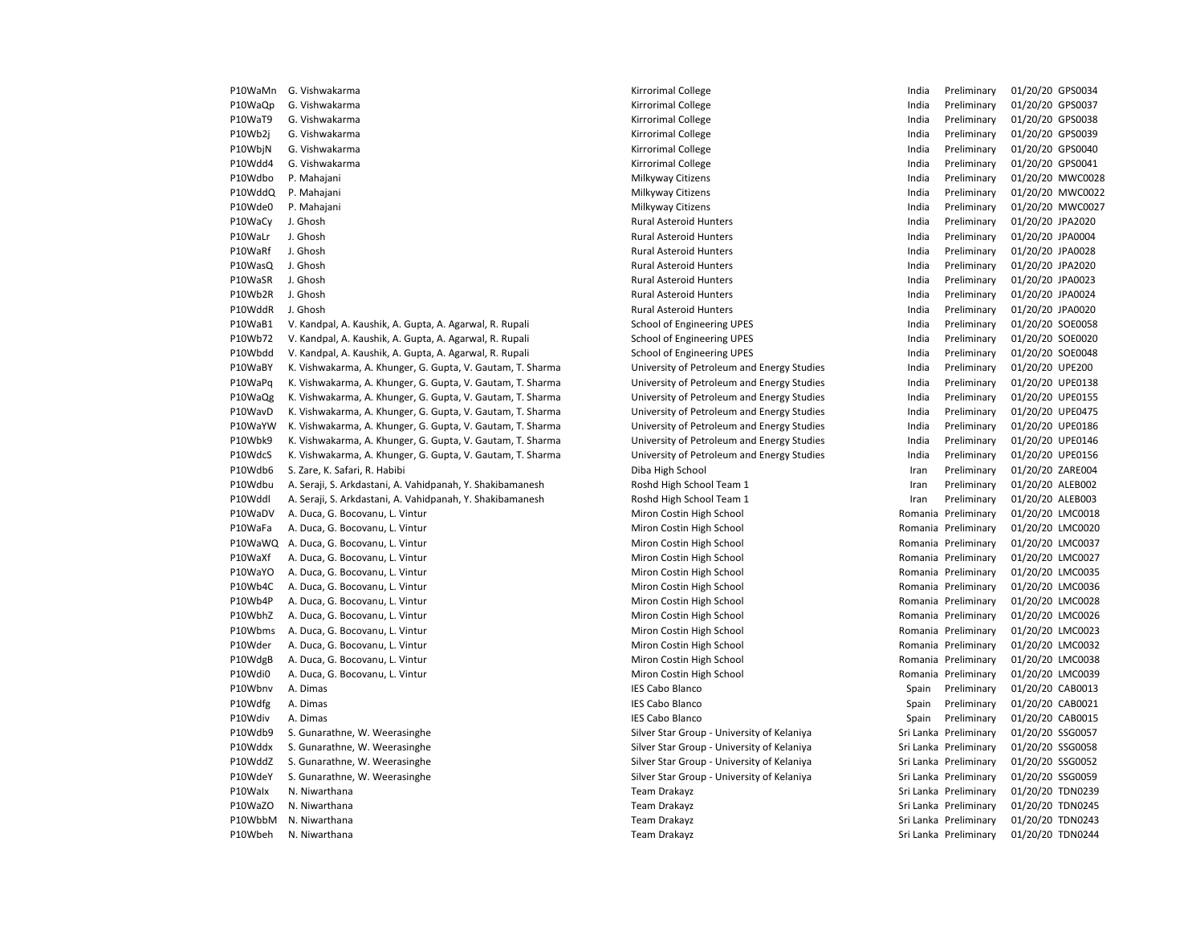| P10WaMn | G. Vishwakarma                                             | Kirrorimal College                         | India | Preliminary                                | 01/20/20 GPS0034                     |
|---------|------------------------------------------------------------|--------------------------------------------|-------|--------------------------------------------|--------------------------------------|
| P10WaQp | G. Vishwakarma                                             | Kirrorimal College                         | India | Preliminary                                | 01/20/20 GPS0037                     |
| P10WaT9 | G. Vishwakarma                                             | Kirrorimal College                         | India | Preliminary                                | 01/20/20 GPS0038                     |
| P10Wb2j | G. Vishwakarma                                             | Kirrorimal College                         | India | Preliminary                                | 01/20/20 GPS0039                     |
| P10WbjN | G. Vishwakarma                                             | Kirrorimal College                         | India | Preliminary                                | 01/20/20 GPS0040                     |
| P10Wdd4 | G. Vishwakarma                                             | Kirrorimal College                         | India | Preliminary                                | 01/20/20 GPS0041                     |
| P10Wdbo | P. Mahajani                                                | Milkyway Citizens                          | India | Preliminary                                | 01/20/20 MWC0028                     |
| P10WddQ | P. Mahajani                                                | Milkyway Citizens                          | India | Preliminary                                | 01/20/20 MWC0022                     |
| P10Wde0 | P. Mahajani                                                | Milkyway Citizens                          | India | Preliminary                                | 01/20/20 MWC0027                     |
| P10WaCy | J. Ghosh                                                   | <b>Rural Asteroid Hunters</b>              | India | Preliminary                                | 01/20/20 JPA2020                     |
| P10WaLr | J. Ghosh                                                   | <b>Rural Asteroid Hunters</b>              | India | Preliminary                                | 01/20/20 JPA0004                     |
| P10WaRf | J. Ghosh                                                   | Rural Asteroid Hunters                     | India | Preliminary                                | 01/20/20 JPA0028                     |
| P10WasQ | J. Ghosh                                                   | Rural Asteroid Hunters                     | India | Preliminary                                | 01/20/20 JPA2020                     |
| P10WaSR | J. Ghosh                                                   | <b>Rural Asteroid Hunters</b>              | India | Preliminary                                | 01/20/20 JPA0023                     |
| P10Wb2R | J. Ghosh                                                   | <b>Rural Asteroid Hunters</b>              | India | Preliminary                                | 01/20/20 JPA0024                     |
| P10WddR | J. Ghosh                                                   | <b>Rural Asteroid Hunters</b>              | India | Preliminary                                | 01/20/20 JPA0020                     |
| P10WaB1 | V. Kandpal, A. Kaushik, A. Gupta, A. Agarwal, R. Rupali    | School of Engineering UPES                 | India | Preliminary                                | 01/20/20 SOE0058                     |
| P10Wb72 | V. Kandpal, A. Kaushik, A. Gupta, A. Agarwal, R. Rupali    | School of Engineering UPES                 | India | Preliminary                                | 01/20/20 SOE0020                     |
| P10Wbdd | V. Kandpal, A. Kaushik, A. Gupta, A. Agarwal, R. Rupali    | School of Engineering UPES                 | India | Preliminary                                | 01/20/20 SOE0048                     |
| P10WaBY | K. Vishwakarma, A. Khunger, G. Gupta, V. Gautam, T. Sharma | University of Petroleum and Energy Studies | India | Preliminary                                | 01/20/20 UPE200                      |
| P10WaPq | K. Vishwakarma, A. Khunger, G. Gupta, V. Gautam, T. Sharma | University of Petroleum and Energy Studies | India | Preliminary                                | 01/20/20 UPE0138                     |
| P10WaQg | K. Vishwakarma, A. Khunger, G. Gupta, V. Gautam, T. Sharma | University of Petroleum and Energy Studies | India | Preliminary                                | 01/20/20 UPE0155                     |
| P10WavD | K. Vishwakarma, A. Khunger, G. Gupta, V. Gautam, T. Sharma | University of Petroleum and Energy Studies | India | Preliminary                                | 01/20/20 UPE0475                     |
| P10WaYW | K. Vishwakarma, A. Khunger, G. Gupta, V. Gautam, T. Sharma | University of Petroleum and Energy Studies | India | Preliminary                                | 01/20/20 UPE0186                     |
| P10Wbk9 | K. Vishwakarma, A. Khunger, G. Gupta, V. Gautam, T. Sharma | University of Petroleum and Energy Studies | India | Preliminary                                | 01/20/20 UPE0146                     |
| P10WdcS | K. Vishwakarma, A. Khunger, G. Gupta, V. Gautam, T. Sharma | University of Petroleum and Energy Studies | India | Preliminary                                | 01/20/20 UPE0156                     |
| P10Wdb6 | S. Zare, K. Safari, R. Habibi                              | Diba High School                           | Iran  | Preliminary                                | 01/20/20 ZARE004                     |
| P10Wdbu | A. Seraji, S. Arkdastani, A. Vahidpanah, Y. Shakibamanesh  | Roshd High School Team 1                   | Iran  | Preliminary                                | 01/20/20 ALEB002                     |
| P10Wddl | A. Seraji, S. Arkdastani, A. Vahidpanah, Y. Shakibamanesh  | Roshd High School Team 1                   | Iran  | Preliminary                                | 01/20/20 ALEB003                     |
| P10WaDV |                                                            |                                            |       |                                            |                                      |
| P10WaFa | A. Duca, G. Bocovanu, L. Vintur                            | Miron Costin High School                   |       | Romania Preliminary<br>Romania Preliminary | 01/20/20 LMC0018<br>01/20/20 LMC0020 |
|         | A. Duca, G. Bocovanu, L. Vintur                            | Miron Costin High School                   |       |                                            |                                      |
|         | P10WaWQ A. Duca, G. Bocovanu, L. Vintur                    | Miron Costin High School                   |       | Romania Preliminary                        | 01/20/20 LMC0037                     |
| P10WaXf | A. Duca, G. Bocovanu, L. Vintur                            | Miron Costin High School                   |       | Romania Preliminary                        | 01/20/20 LMC0027                     |
| P10WaYO | A. Duca, G. Bocovanu, L. Vintur                            | Miron Costin High School                   |       | Romania Preliminary                        | 01/20/20 LMC0035                     |
| P10Wb4C | A. Duca, G. Bocovanu, L. Vintur                            | Miron Costin High School                   |       | Romania Preliminary                        | 01/20/20 LMC0036                     |
| P10Wb4P | A. Duca, G. Bocovanu, L. Vintur                            | Miron Costin High School                   |       | Romania Preliminary                        | 01/20/20 LMC0028                     |
| P10WbhZ | A. Duca, G. Bocovanu, L. Vintur                            | Miron Costin High School                   |       | Romania Preliminary                        | 01/20/20 LMC0026                     |
| P10Wbms | A. Duca, G. Bocovanu, L. Vintur                            | Miron Costin High School                   |       | Romania Preliminary                        | 01/20/20 LMC0023                     |
| P10Wder | A. Duca, G. Bocovanu, L. Vintur                            | Miron Costin High School                   |       | Romania Preliminary                        | 01/20/20 LMC0032                     |
| P10WdgB | A. Duca, G. Bocovanu, L. Vintur                            | Miron Costin High School                   |       | Romania Preliminary                        | 01/20/20 LMC0038                     |
| P10Wdi0 | A. Duca, G. Bocovanu, L. Vintur                            | Miron Costin High School                   |       | Romania Preliminary                        | 01/20/20 LMC0039                     |
| P10Wbnv | A. Dimas                                                   | <b>IES Cabo Blanco</b>                     | Spain | Preliminary                                | 01/20/20 CAB0013                     |
| P10Wdfg | A. Dimas                                                   | <b>IES Cabo Blanco</b>                     | Spain | Preliminary                                | 01/20/20 CAB0021                     |
| P10Wdiv | A. Dimas                                                   | <b>IES Cabo Blanco</b>                     | Spain | Preliminary                                | 01/20/20 CAB0015                     |
| P10Wdb9 | S. Gunarathne, W. Weerasinghe                              | Silver Star Group - University of Kelaniya |       | Sri Lanka Preliminary                      | 01/20/20 SSG0057                     |
| P10Wddx | S. Gunarathne, W. Weerasinghe                              | Silver Star Group - University of Kelaniya |       | Sri Lanka Preliminary                      | 01/20/20 SSG0058                     |
| P10WddZ | S. Gunarathne, W. Weerasinghe                              | Silver Star Group - University of Kelaniya |       | Sri Lanka Preliminary                      | 01/20/20 SSG0052                     |
| P10WdeY | S. Gunarathne, W. Weerasinghe                              | Silver Star Group - University of Kelaniya |       | Sri Lanka Preliminary                      | 01/20/20 SSG0059                     |
| P10Walx | N. Niwarthana                                              | Team Drakayz                               |       | Sri Lanka Preliminary                      | 01/20/20 TDN0239                     |
| P10WaZO | N. Niwarthana                                              | Team Drakayz                               |       | Sri Lanka Preliminary                      | 01/20/20 TDN0245                     |
| P10WbbM | N. Niwarthana                                              | Team Drakayz                               |       | Sri Lanka Preliminary                      | 01/20/20 TDN0243                     |
| P10Wbeh | N. Niwarthana                                              | Team Drakayz                               |       | Sri Lanka Preliminary                      | 01/20/20 TDN0244                     |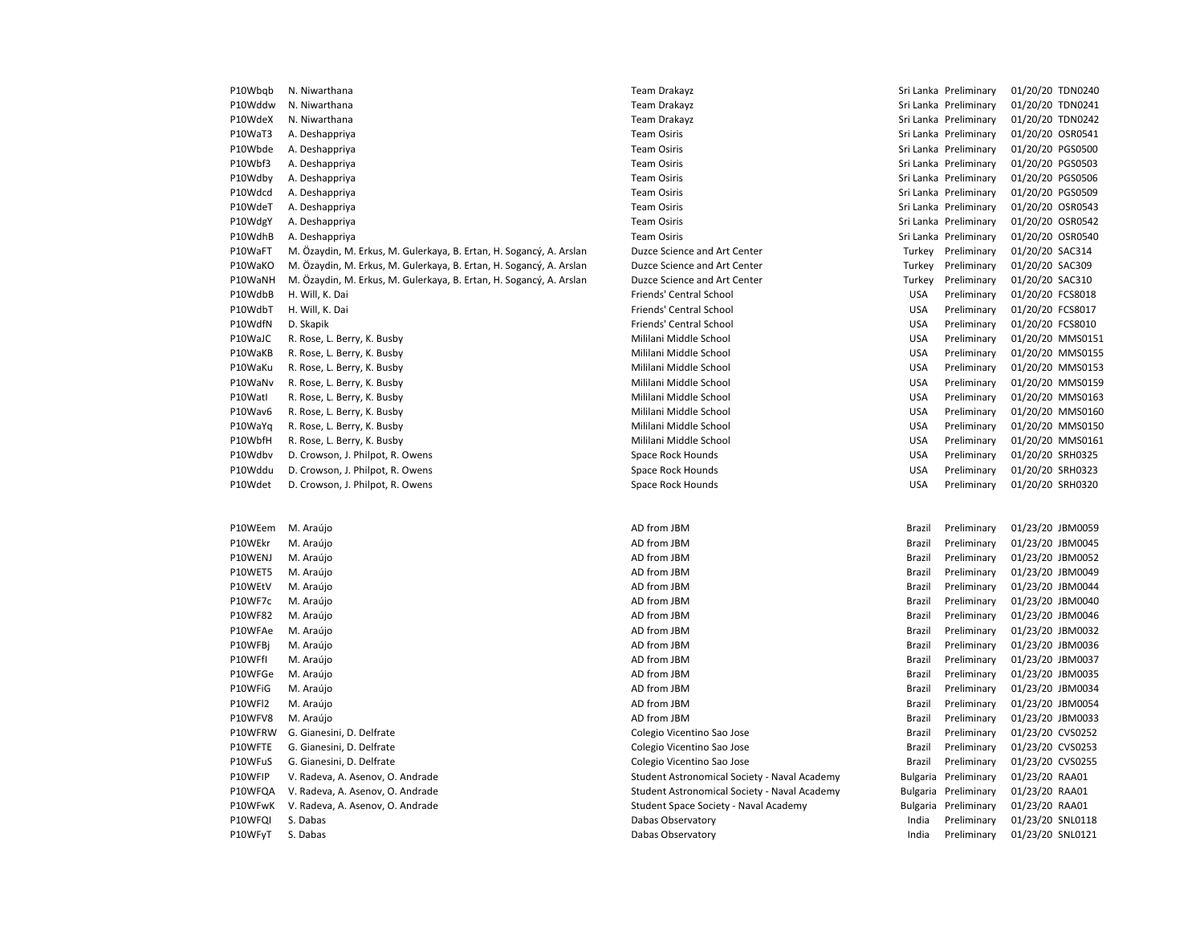| P10Wbgb | N. Niwarthana                                                       | Team Drakayz                                 |               | Sri Lanka Preliminary | 01/20/20 TDN0240 |
|---------|---------------------------------------------------------------------|----------------------------------------------|---------------|-----------------------|------------------|
| P10Wddw | N. Niwarthana                                                       | <b>Team Drakayz</b>                          |               | Sri Lanka Preliminary | 01/20/20 TDN0241 |
| P10WdeX | N. Niwarthana                                                       | Team Drakayz                                 |               | Sri Lanka Preliminary | 01/20/20 TDN0242 |
| P10WaT3 | A. Deshappriya                                                      | <b>Team Osiris</b>                           |               | Sri Lanka Preliminary | 01/20/20 OSR0541 |
| P10Wbde | A. Deshappriya                                                      | <b>Team Osiris</b>                           |               | Sri Lanka Preliminary | 01/20/20 PGS0500 |
| P10Wbf3 | A. Deshappriya                                                      | <b>Team Osiris</b>                           |               | Sri Lanka Preliminary | 01/20/20 PGS0503 |
| P10Wdby | A. Deshappriya                                                      | <b>Team Osiris</b>                           |               | Sri Lanka Preliminary | 01/20/20 PGS0506 |
| P10Wdcd | A. Deshappriya                                                      | <b>Team Osiris</b>                           |               | Sri Lanka Preliminary | 01/20/20 PGS0509 |
| P10WdeT | A. Deshappriya                                                      | <b>Team Osiris</b>                           |               | Sri Lanka Preliminary | 01/20/20 OSR0543 |
| P10WdgY | A. Deshappriya                                                      | <b>Team Osiris</b>                           |               | Sri Lanka Preliminary | 01/20/20 OSR0542 |
| P10WdhB | A. Deshappriya                                                      | <b>Team Osiris</b>                           |               | Sri Lanka Preliminary | 01/20/20 OSR0540 |
| P10WaFT | M. Özaydin, M. Erkus, M. Gulerkaya, B. Ertan, H. Sogancý, A. Arslan | Duzce Science and Art Center                 | Turkey        | Preliminary           | 01/20/20 SAC314  |
| P10WaKO | M. Özaydin, M. Erkus, M. Gulerkaya, B. Ertan, H. Sogancý, A. Arslan | Duzce Science and Art Center                 | Turkey        | Preliminary           | 01/20/20 SAC309  |
| P10WaNH | M. Özaydin, M. Erkus, M. Gulerkaya, B. Ertan, H. Sogancý, A. Arslan | Duzce Science and Art Center                 | Turkey        | Preliminary           | 01/20/20 SAC310  |
| P10WdbB | H. Will, K. Dai                                                     | Friends' Central School                      | <b>USA</b>    | Preliminary           | 01/20/20 FCS8018 |
| P10WdbT | H. Will, K. Dai                                                     | Friends' Central School                      | <b>USA</b>    | Preliminary           | 01/20/20 FCS8017 |
| P10WdfN | D. Skapik                                                           | Friends' Central School                      | <b>USA</b>    | Preliminary           | 01/20/20 FCS8010 |
| P10WaJC | R. Rose, L. Berry, K. Busby                                         | Mililani Middle School                       | <b>USA</b>    | Preliminary           | 01/20/20 MMS0151 |
| P10WaKB | R. Rose, L. Berry, K. Busby                                         | Mililani Middle School                       | <b>USA</b>    | Preliminary           | 01/20/20 MMS0155 |
| P10WaKu | R. Rose, L. Berry, K. Busby                                         | Mililani Middle School                       | <b>USA</b>    | Preliminary           | 01/20/20 MMS0153 |
| P10WaNv | R. Rose, L. Berry, K. Busby                                         | Mililani Middle School                       | <b>USA</b>    | Preliminary           | 01/20/20 MMS0159 |
| P10Watl | R. Rose, L. Berry, K. Busby                                         | Mililani Middle School                       | <b>USA</b>    | Preliminary           | 01/20/20 MMS0163 |
| P10Wav6 | R. Rose, L. Berry, K. Busby                                         | Mililani Middle School                       | <b>USA</b>    | Preliminary           | 01/20/20 MMS0160 |
| P10WaYq | R. Rose, L. Berry, K. Busby                                         | Mililani Middle School                       | <b>USA</b>    | Preliminary           | 01/20/20 MMS0150 |
| P10WbfH | R. Rose, L. Berry, K. Busby                                         | Mililani Middle School                       | <b>USA</b>    | Preliminary           | 01/20/20 MMS0161 |
| P10Wdbv | D. Crowson, J. Philpot, R. Owens                                    | Space Rock Hounds                            | <b>USA</b>    | Preliminary           | 01/20/20 SRH0325 |
| P10Wddu | D. Crowson, J. Philpot, R. Owens                                    | Space Rock Hounds                            | <b>USA</b>    | Preliminary           | 01/20/20 SRH0323 |
| P10Wdet | D. Crowson, J. Philpot, R. Owens                                    | Space Rock Hounds                            | <b>USA</b>    | Preliminary           | 01/20/20 SRH0320 |
|         |                                                                     |                                              |               |                       |                  |
|         |                                                                     |                                              |               |                       |                  |
| P10WEem | M. Araújo                                                           | AD from JBM                                  | Brazil        | Preliminary           | 01/23/20 JBM0059 |
| P10WEkr | M. Araújo                                                           | AD from JBM                                  | Brazil        | Preliminary           | 01/23/20 JBM0045 |
| P10WENJ | M. Araújo                                                           | AD from JBM                                  | <b>Brazil</b> | Preliminary           | 01/23/20 JBM0052 |
| P10WET5 | M. Araújo                                                           | AD from JBM                                  | Brazil        | Preliminary           | 01/23/20 JBM0049 |
| P10WEtV | M. Araújo                                                           | AD from JBM                                  | Brazil        | Preliminary           | 01/23/20 JBM0044 |
| P10WF7c | M. Araújo                                                           | AD from JBM                                  | Brazil        | Preliminary           | 01/23/20 JBM0040 |
| P10WF82 | M. Araújo                                                           | AD from JBM                                  | <b>Brazil</b> | Preliminary           | 01/23/20 JBM0046 |
| P10WFAe | M. Araújo                                                           | AD from JBM                                  | Brazil        | Preliminary           | 01/23/20 JBM0032 |
| P10WFBj | M. Araújo                                                           | AD from JBM                                  | Brazil        | Preliminary           | 01/23/20 JBM0036 |
| P10WFfI | M. Araújo                                                           | AD from JBM                                  | Brazil        | Preliminary           | 01/23/20 JBM0037 |
| P10WFGe | M. Araújo                                                           | AD from JBM                                  | <b>Brazil</b> | Preliminary           | 01/23/20 JBM0035 |
| P10WFiG | M. Araújo                                                           | AD from JBM                                  | Brazil        | Preliminary           | 01/23/20 JBM0034 |
| P10WFI2 | M. Araújo                                                           | AD from JBM                                  | Brazil        | Preliminary           | 01/23/20 JBM0054 |
| P10WFV8 | M. Araújo                                                           | AD from JBM                                  | Brazil        | Preliminary           | 01/23/20 JBM0033 |
| P10WFRW | G. Gianesini, D. Delfrate                                           | Colegio Vicentino Sao Jose                   | Brazil        | Preliminary           | 01/23/20 CVS0252 |
| P10WFTE | G. Gianesini, D. Delfrate                                           | Colegio Vicentino Sao Jose                   | <b>Brazil</b> | Preliminary           | 01/23/20 CVS0253 |
| P10WFuS | G. Gianesini, D. Delfrate                                           | Colegio Vicentino Sao Jose                   | Brazil        | Preliminary           | 01/23/20 CVS0255 |
| P10WFIP | V. Radeva, A. Asenov, O. Andrade                                    | Student Astronomical Society - Naval Academy |               | Bulgaria Preliminary  | 01/23/20 RAA01   |
| P10WFQA | V. Radeva, A. Asenov, O. Andrade                                    | Student Astronomical Society - Naval Academy | Bulgaria      | Preliminary           | 01/23/20 RAA01   |
| P10WFwK | V. Radeva, A. Asenov, O. Andrade                                    | Student Space Society - Naval Academy        |               | Bulgaria Preliminary  | 01/23/20 RAA01   |
| P10WFQI | S. Dabas                                                            | Dabas Observatory                            | India         | Preliminary           | 01/23/20 SNL0118 |
| P10WFyT | S. Dabas                                                            | Dabas Observatory                            | India         | Preliminary           | 01/23/20 SNL0121 |
|         |                                                                     |                                              |               |                       |                  |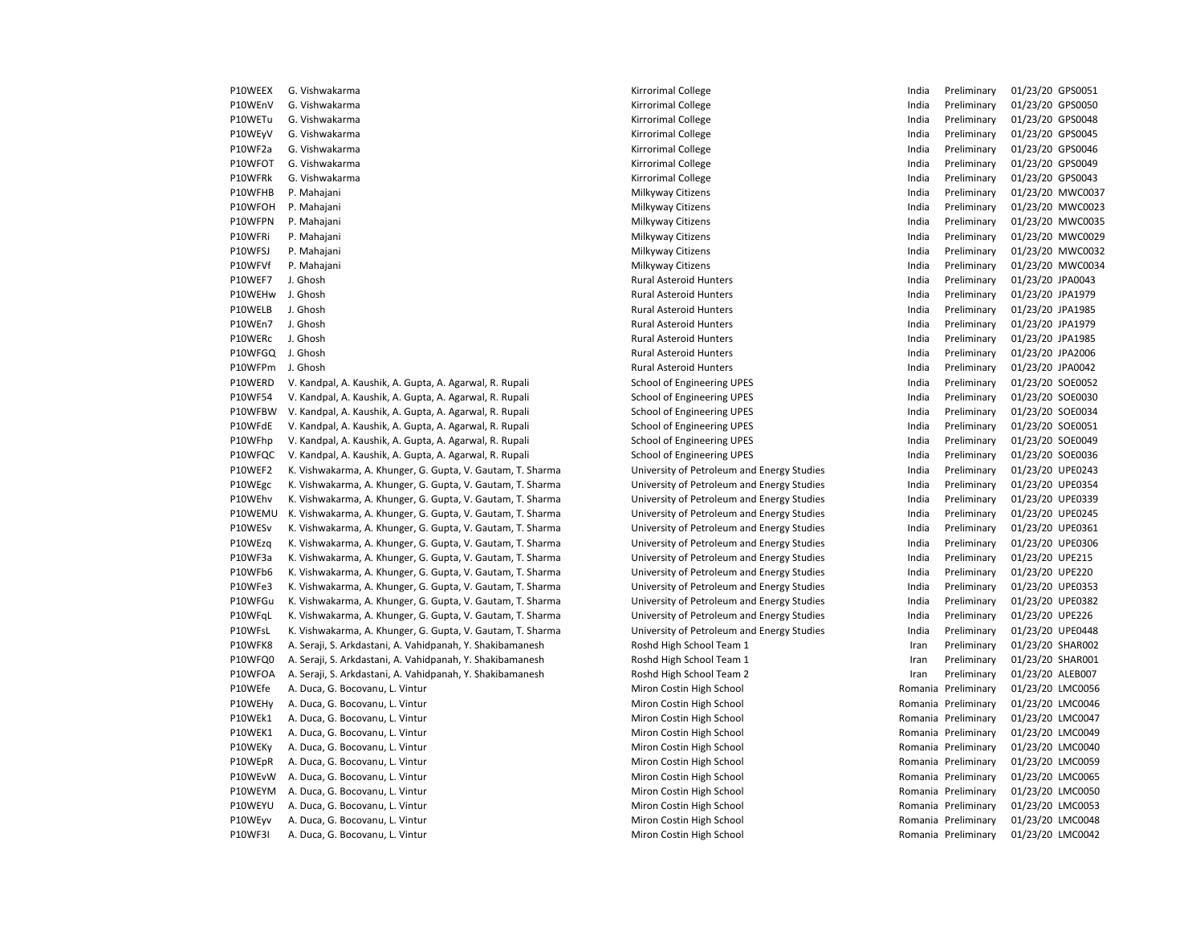| P10WEEX | G. Vishwakarma                                             | Kirrorimal College                         | India | Preliminary         | 01/23/20 GPS0051 |                  |
|---------|------------------------------------------------------------|--------------------------------------------|-------|---------------------|------------------|------------------|
| P10WEnV | G. Vishwakarma                                             | Kirrorimal College                         | India | Preliminary         | 01/23/20 GPS0050 |                  |
| P10WETu | G. Vishwakarma                                             | Kirrorimal College                         | India | Preliminary         | 01/23/20 GPS0048 |                  |
| P10WEyV | G. Vishwakarma                                             | Kirrorimal College                         | India | Preliminary         | 01/23/20 GPS0045 |                  |
| P10WF2a | G. Vishwakarma                                             | Kirrorimal College                         | India | Preliminary         | 01/23/20 GPS0046 |                  |
| P10WFOT | G. Vishwakarma                                             | Kirrorimal College                         | India | Preliminary         | 01/23/20 GPS0049 |                  |
| P10WFRk | G. Vishwakarma                                             | Kirrorimal College                         | India | Preliminary         | 01/23/20 GPS0043 |                  |
| P10WFHB | P. Mahajani                                                | Milkyway Citizens                          | India | Preliminary         |                  | 01/23/20 MWC0037 |
| P10WFOH | P. Mahajani                                                | Milkyway Citizens                          | India | Preliminary         |                  | 01/23/20 MWC0023 |
| P10WFPN | P. Mahajani                                                | Milkyway Citizens                          | India | Preliminary         |                  | 01/23/20 MWC0035 |
| P10WFRi | P. Mahajani                                                | Milkyway Citizens                          | India | Preliminary         |                  | 01/23/20 MWC0029 |
| P10WFSJ | P. Mahajani                                                | Milkyway Citizens                          | India | Preliminary         |                  | 01/23/20 MWC0032 |
| P10WFVf | P. Mahajani                                                | Milkyway Citizens                          | India | Preliminary         |                  | 01/23/20 MWC0034 |
| P10WEF7 | J. Ghosh                                                   | <b>Rural Asteroid Hunters</b>              | India | Preliminary         | 01/23/20 JPA0043 |                  |
| P10WEHw | J. Ghosh                                                   | <b>Rural Asteroid Hunters</b>              | India | Preliminary         | 01/23/20 JPA1979 |                  |
| P10WELB | J. Ghosh                                                   | <b>Rural Asteroid Hunters</b>              | India | Preliminary         | 01/23/20 JPA1985 |                  |
| P10WEn7 | J. Ghosh                                                   | <b>Rural Asteroid Hunters</b>              | India | Preliminary         | 01/23/20 JPA1979 |                  |
| P10WERc | J. Ghosh                                                   | Rural Asteroid Hunters                     | India | Preliminary         | 01/23/20 JPA1985 |                  |
| P10WFGQ | J. Ghosh                                                   | <b>Rural Asteroid Hunters</b>              | India | Preliminary         | 01/23/20 JPA2006 |                  |
| P10WFPm | J. Ghosh                                                   | Rural Asteroid Hunters                     | India | Preliminary         | 01/23/20 JPA0042 |                  |
| P10WERD | V. Kandpal, A. Kaushik, A. Gupta, A. Agarwal, R. Rupali    | School of Engineering UPES                 | India | Preliminary         | 01/23/20 SOE0052 |                  |
| P10WF54 | V. Kandpal, A. Kaushik, A. Gupta, A. Agarwal, R. Rupali    | School of Engineering UPES                 | India | Preliminary         | 01/23/20 SOE0030 |                  |
| P10WFBW | V. Kandpal, A. Kaushik, A. Gupta, A. Agarwal, R. Rupali    | School of Engineering UPES                 | India | Preliminary         | 01/23/20 SOE0034 |                  |
| P10WFdE | V. Kandpal, A. Kaushik, A. Gupta, A. Agarwal, R. Rupali    | School of Engineering UPES                 | India | Preliminary         | 01/23/20 SOE0051 |                  |
| P10WFhp | V. Kandpal, A. Kaushik, A. Gupta, A. Agarwal, R. Rupali    | School of Engineering UPES                 | India | Preliminary         | 01/23/20 SOE0049 |                  |
| P10WFQC | V. Kandpal, A. Kaushik, A. Gupta, A. Agarwal, R. Rupali    | School of Engineering UPES                 | India | Preliminary         | 01/23/20 SOE0036 |                  |
| P10WEF2 | K. Vishwakarma, A. Khunger, G. Gupta, V. Gautam, T. Sharma | University of Petroleum and Energy Studies | India | Preliminary         | 01/23/20 UPE0243 |                  |
| P10WEgc | K. Vishwakarma, A. Khunger, G. Gupta, V. Gautam, T. Sharma | University of Petroleum and Energy Studies | India | Preliminary         | 01/23/20 UPE0354 |                  |
| P10WEhv | K. Vishwakarma, A. Khunger, G. Gupta, V. Gautam, T. Sharma | University of Petroleum and Energy Studies | India | Preliminary         | 01/23/20 UPE0339 |                  |
| P10WEMU | K. Vishwakarma, A. Khunger, G. Gupta, V. Gautam, T. Sharma | University of Petroleum and Energy Studies | India | Preliminary         | 01/23/20 UPE0245 |                  |
| P10WESv | K. Vishwakarma, A. Khunger, G. Gupta, V. Gautam, T. Sharma | University of Petroleum and Energy Studies | India | Preliminary         | 01/23/20 UPE0361 |                  |
| P10WEzq | K. Vishwakarma, A. Khunger, G. Gupta, V. Gautam, T. Sharma | University of Petroleum and Energy Studies | India | Preliminary         | 01/23/20 UPE0306 |                  |
| P10WF3a | K. Vishwakarma, A. Khunger, G. Gupta, V. Gautam, T. Sharma | University of Petroleum and Energy Studies | India | Preliminary         | 01/23/20 UPE215  |                  |
| P10WFb6 | K. Vishwakarma, A. Khunger, G. Gupta, V. Gautam, T. Sharma | University of Petroleum and Energy Studies | India | Preliminary         | 01/23/20 UPE220  |                  |
| P10WFe3 | K. Vishwakarma, A. Khunger, G. Gupta, V. Gautam, T. Sharma | University of Petroleum and Energy Studies | India | Preliminary         | 01/23/20 UPE0353 |                  |
| P10WFGu | K. Vishwakarma, A. Khunger, G. Gupta, V. Gautam, T. Sharma | University of Petroleum and Energy Studies | India | Preliminary         | 01/23/20 UPE0382 |                  |
| P10WFqL | K. Vishwakarma, A. Khunger, G. Gupta, V. Gautam, T. Sharma | University of Petroleum and Energy Studies | India | Preliminary         | 01/23/20 UPE226  |                  |
| P10WFsL | K. Vishwakarma, A. Khunger, G. Gupta, V. Gautam, T. Sharma | University of Petroleum and Energy Studies | India | Preliminary         | 01/23/20 UPE0448 |                  |
| P10WFK8 | A. Seraji, S. Arkdastani, A. Vahidpanah, Y. Shakibamanesh  | Roshd High School Team 1                   | Iran  | Preliminary         | 01/23/20 SHAR002 |                  |
| P10WFQ0 | A. Seraji, S. Arkdastani, A. Vahidpanah, Y. Shakibamanesh  | Roshd High School Team 1                   | Iran  | Preliminary         | 01/23/20 SHAR001 |                  |
| P10WFOA | A. Seraji, S. Arkdastani, A. Vahidpanah, Y. Shakibamanesh  | Roshd High School Team 2                   | Iran  | Preliminary         | 01/23/20 ALEB007 |                  |
| P10WEfe | A. Duca, G. Bocovanu, L. Vintur                            | Miron Costin High School                   |       | Romania Preliminary | 01/23/20 LMC0056 |                  |
| P10WEHy | A. Duca, G. Bocovanu, L. Vintur                            | Miron Costin High School                   |       | Romania Preliminary | 01/23/20 LMC0046 |                  |
| P10WEk1 | A. Duca, G. Bocovanu, L. Vintur                            | Miron Costin High School                   |       | Romania Preliminary | 01/23/20 LMC0047 |                  |
| P10WEK1 | A. Duca, G. Bocovanu, L. Vintur                            | Miron Costin High School                   |       | Romania Preliminary | 01/23/20 LMC0049 |                  |
| P10WEKy | A. Duca, G. Bocovanu, L. Vintur                            | Miron Costin High School                   |       | Romania Preliminary | 01/23/20 LMC0040 |                  |
| P10WEpR | A. Duca, G. Bocovanu, L. Vintur                            | Miron Costin High School                   |       | Romania Preliminary | 01/23/20 LMC0059 |                  |
| P10WEvW | A. Duca, G. Bocovanu, L. Vintur                            | Miron Costin High School                   |       | Romania Preliminary | 01/23/20 LMC0065 |                  |
| P10WEYM | A. Duca, G. Bocovanu, L. Vintur                            | Miron Costin High School                   |       | Romania Preliminary | 01/23/20 LMC0050 |                  |
| P10WEYU | A. Duca, G. Bocovanu, L. Vintur                            | Miron Costin High School                   |       | Romania Preliminary | 01/23/20 LMC0053 |                  |
| P10WEyv | A. Duca, G. Bocovanu, L. Vintur                            | Miron Costin High School                   |       | Romania Preliminary | 01/23/20 LMC0048 |                  |
| P10WF3I | A. Duca, G. Bocovanu, L. Vintur                            | Miron Costin High School                   |       | Romania Preliminary | 01/23/20 LMC0042 |                  |
|         |                                                            |                                            |       |                     |                  |                  |

| iliuld | r i eilitilitai y | <b>UI/23/20</b> | ursuus         |
|--------|-------------------|-----------------|----------------|
| India  | Preliminary       | 01/23/20        | GPS0050        |
| India  | Preliminary       | 01/23/20        | GPS0048        |
| India  | Preliminary       | 01/23/20        | GPS0045        |
| India  | Preliminary       | 01/23/20        | GPS0046        |
| India  | Preliminary       | 01/23/20        | GPS0049        |
| India  | Preliminary       | 01/23/20        | GPS0043        |
| India  | Preliminary       | 01/23/20        | MWC0037        |
| India  | Preliminary       | 01/23/20        | MWC0023        |
| India  | Preliminary       | 01/23/20        | MWC0035        |
| India  | Preliminary       | 01/23/20        | MWC0029        |
| India  | Preliminary       | 01/23/20        | MWC0032        |
| India  | Preliminary       | 01/23/20        | MWC0034        |
| India  | Preliminary       | 01/23/20        | JPA0043        |
| India  | Preliminary       | 01/23/20        | JPA1979        |
| India  | Preliminary       | 01/23/20        | JPA1985        |
| India  | Preliminary       | 01/23/20        | JPA1979        |
| India  | Preliminary       | 01/23/20        | JPA1985        |
| India  | Preliminary       | 01/23/20        | JPA2006        |
| India  | Preliminary       | 01/23/20        | JPA0042        |
| India  | Preliminary       | 01/23/20        | SOE0052        |
| India  | Preliminary       | 01/23/20        | SOE0030        |
| India  | Preliminary       | 01/23/20        | SOE0034        |
| India  | Preliminary       | 01/23/20        | SOE0051        |
| India  | Preliminary       | 01/23/20        | SOE0049        |
| India  | Preliminary       | 01/23/20        | SOE0036        |
| India  | Preliminary       | 01/23/20        | <b>UPE0243</b> |
| India  | Preliminary       | 01/23/20        | <b>UPE0354</b> |
| India  | Preliminary       | 01/23/20        | UPE0339        |
| India  | Preliminary       | 01/23/20        | <b>UPE0245</b> |
| India  | Preliminary       | 01/23/20        | <b>UPE0361</b> |
| India  | Preliminary       | 01/23/20        | <b>UPE0306</b> |
| India  | Preliminary       | 01/23/20        | <b>UPE215</b>  |
| India  | Preliminary       | 01/23/20        | <b>UPE220</b>  |
| India  | Preliminary       | 01/23/20        | <b>UPE0353</b> |
| India  | Preliminary       | 01/23/20        | <b>UPE0382</b> |
| India  | Preliminary       | 01/23/20        | <b>UPE226</b>  |
| India  | Preliminary       | 01/23/20        | <b>UPE0448</b> |
| Iran   | Preliminary       | 01/23/20        | SHAR002        |
| Iran   | Preliminary       | 01/23/20        | SHAR001        |
| Iran   | Preliminary       | 01/23/20        | ALEB007        |
| omania | Preliminary       | 01/23/20        | <b>LMC0056</b> |
| omania | Preliminary       | 01/23/20        | <b>LMC0046</b> |
| omania | Preliminary       | 01/23/20        | LMC0047        |
| omania | Preliminary       | 01/23/20        | LMC0049        |
| omania | Preliminary       | 01/23/20        | <b>LMC0040</b> |
| omania | Preliminary       | 01/23/20        | <b>LMC0059</b> |
| omania | Preliminary       | 01/23/20        | <b>LMC0065</b> |
| omania | Preliminary       | 01/23/20        | <b>LMC0050</b> |
| omania | Preliminary       | 01/23/20        | LMC0053        |
| omania | Preliminary       | 01/23/20        | LMC0048        |
| omania | Preliminary       | 01/23/20        | LMC0042        |
|        |                   |                 |                |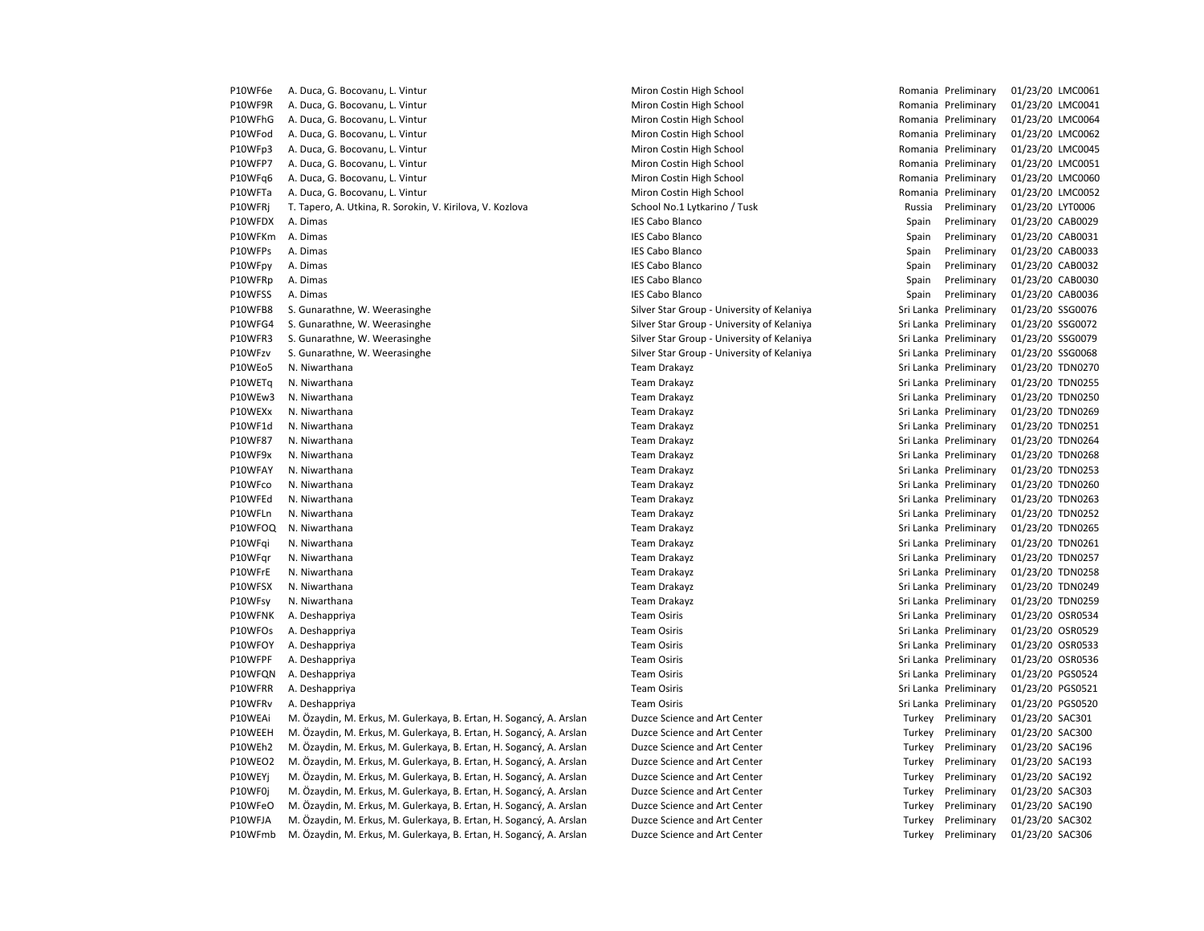| P10WF6e | A. Duca, G. Bocovanu, L. Vintur                                     | Miron Costin High School                   | Romania Preliminary   |                    | 01/23/20 LMC0061 |
|---------|---------------------------------------------------------------------|--------------------------------------------|-----------------------|--------------------|------------------|
| P10WF9R | A. Duca, G. Bocovanu, L. Vintur                                     | Miron Costin High School                   | Romania Preliminary   |                    | 01/23/20 LMC0041 |
| P10WFhG | A. Duca, G. Bocovanu, L. Vintur                                     | Miron Costin High School                   | Romania Preliminary   |                    | 01/23/20 LMC0064 |
| P10WFod | A. Duca, G. Bocovanu, L. Vintur                                     | Miron Costin High School                   | Romania Preliminary   |                    | 01/23/20 LMC0062 |
| P10WFp3 | A. Duca, G. Bocovanu, L. Vintur                                     | Miron Costin High School                   | Romania Preliminary   |                    | 01/23/20 LMC0045 |
| P10WFP7 | A. Duca, G. Bocovanu, L. Vintur                                     | Miron Costin High School                   | Romania Preliminary   |                    | 01/23/20 LMC0051 |
| P10WFq6 | A. Duca, G. Bocovanu, L. Vintur                                     | Miron Costin High School                   | Romania Preliminary   |                    | 01/23/20 LMC0060 |
| P10WFTa | A. Duca, G. Bocovanu, L. Vintur                                     | Miron Costin High School                   | Romania Preliminary   |                    | 01/23/20 LMC0052 |
| P10WFRj | T. Tapero, A. Utkina, R. Sorokin, V. Kirilova, V. Kozlova           | School No.1 Lytkarino / Tusk               | Russia                | Preliminary        | 01/23/20 LYT0006 |
| P10WFDX | A. Dimas                                                            | <b>IES Cabo Blanco</b>                     | Spain                 | Preliminary        | 01/23/20 CAB0029 |
| P10WFKm | A. Dimas                                                            | <b>IES Cabo Blanco</b>                     | Spain                 | Preliminary        | 01/23/20 CAB0031 |
| P10WFPs | A. Dimas                                                            | <b>IES Cabo Blanco</b>                     | Spain                 | Preliminary        | 01/23/20 CAB0033 |
| P10WFpy | A. Dimas                                                            | <b>IES Cabo Blanco</b>                     | Spain                 | Preliminary        | 01/23/20 CAB0032 |
| P10WFRp | A. Dimas                                                            | <b>IES Cabo Blanco</b>                     | Spain                 | Preliminary        | 01/23/20 CAB0030 |
| P10WFSS | A. Dimas                                                            | <b>IES Cabo Blanco</b>                     | Spain                 | Preliminary        | 01/23/20 CAB0036 |
| P10WFB8 | S. Gunarathne, W. Weerasinghe                                       | Silver Star Group - University of Kelaniya | Sri Lanka Preliminary |                    | 01/23/20 SSG0076 |
| P10WFG4 | S. Gunarathne, W. Weerasinghe                                       | Silver Star Group - University of Kelaniya | Sri Lanka Preliminary |                    | 01/23/20 SSG0072 |
| P10WFR3 | S. Gunarathne, W. Weerasinghe                                       | Silver Star Group - University of Kelaniya | Sri Lanka Preliminary |                    | 01/23/20 SSG0079 |
| P10WFzv | S. Gunarathne, W. Weerasinghe                                       | Silver Star Group - University of Kelaniya | Sri Lanka Preliminary |                    | 01/23/20 SSG0068 |
| P10WEo5 | N. Niwarthana                                                       | Team Drakayz                               | Sri Lanka Preliminary |                    | 01/23/20 TDN0270 |
| P10WETq | N. Niwarthana                                                       | Team Drakayz                               | Sri Lanka Preliminary |                    | 01/23/20 TDN0255 |
| P10WEw3 | N. Niwarthana                                                       | Team Drakayz                               | Sri Lanka Preliminary |                    | 01/23/20 TDN0250 |
| P10WEXx | N. Niwarthana                                                       | Team Drakayz                               | Sri Lanka Preliminary |                    | 01/23/20 TDN0269 |
| P10WF1d | N. Niwarthana                                                       | Team Drakayz                               | Sri Lanka Preliminary |                    | 01/23/20 TDN0251 |
| P10WF87 | N. Niwarthana                                                       | Team Drakayz                               | Sri Lanka Preliminary |                    | 01/23/20 TDN0264 |
| P10WF9x | N. Niwarthana                                                       | Team Drakayz                               | Sri Lanka Preliminary |                    | 01/23/20 TDN0268 |
| P10WFAY | N. Niwarthana                                                       | Team Drakayz                               | Sri Lanka Preliminary |                    | 01/23/20 TDN0253 |
| P10WFco | N. Niwarthana                                                       | Team Drakayz                               | Sri Lanka Preliminary |                    | 01/23/20 TDN0260 |
| P10WFEd | N. Niwarthana                                                       | Team Drakayz                               | Sri Lanka Preliminary |                    | 01/23/20 TDN0263 |
| P10WFLn | N. Niwarthana                                                       | Team Drakayz                               | Sri Lanka Preliminary |                    | 01/23/20 TDN0252 |
| P10WFOQ | N. Niwarthana                                                       | Team Drakayz                               | Sri Lanka Preliminary |                    | 01/23/20 TDN0265 |
| P10WFqi | N. Niwarthana                                                       | Team Drakayz                               | Sri Lanka Preliminary |                    | 01/23/20 TDN0261 |
| P10WFgr | N. Niwarthana                                                       | Team Drakayz                               | Sri Lanka Preliminary |                    | 01/23/20 TDN0257 |
| P10WFrE | N. Niwarthana                                                       | Team Drakayz                               | Sri Lanka Preliminary |                    | 01/23/20 TDN0258 |
| P10WFSX | N. Niwarthana                                                       | Team Drakayz                               | Sri Lanka Preliminary |                    | 01/23/20 TDN0249 |
| P10WFsy | N. Niwarthana                                                       | Team Drakayz                               | Sri Lanka Preliminary |                    | 01/23/20 TDN0259 |
| P10WFNK | A. Deshappriya                                                      | <b>Team Osiris</b>                         | Sri Lanka Preliminary |                    | 01/23/20 OSR0534 |
| P10WFOs | A. Deshappriya                                                      | <b>Team Osiris</b>                         | Sri Lanka Preliminary |                    | 01/23/20 OSR0529 |
| P10WFOY | A. Deshappriya                                                      | <b>Team Osiris</b>                         | Sri Lanka Preliminary |                    | 01/23/20 OSR0533 |
| P10WFPF | A. Deshappriya                                                      | <b>Team Osiris</b>                         | Sri Lanka Preliminary |                    | 01/23/20 OSR0536 |
| P10WFQN | A. Deshappriya                                                      | <b>Team Osiris</b>                         | Sri Lanka Preliminary |                    | 01/23/20 PGS0524 |
| P10WFRR | A. Deshappriya                                                      | <b>Team Osiris</b>                         | Sri Lanka Preliminary |                    | 01/23/20 PGS0521 |
| P10WFRv | A. Deshappriya                                                      | <b>Team Osiris</b>                         | Sri Lanka Preliminary |                    | 01/23/20 PGS0520 |
| P10WEAi | M. Özaydin, M. Erkus, M. Gulerkaya, B. Ertan, H. Sogancý, A. Arslan | Duzce Science and Art Center               | Turkey                | Preliminary        | 01/23/20 SAC301  |
| P10WEEH | M. Özaydin, M. Erkus, M. Gulerkaya, B. Ertan, H. Sogancý, A. Arslan | Duzce Science and Art Center               | Turkey                | Preliminary        | 01/23/20 SAC300  |
| P10WEh2 | M. Özaydin, M. Erkus, M. Gulerkaya, B. Ertan, H. Sogancý, A. Arslan | Duzce Science and Art Center               | Turkey                | Preliminary        | 01/23/20 SAC196  |
| P10WEO2 | M. Özaydin, M. Erkus, M. Gulerkaya, B. Ertan, H. Sogancý, A. Arslan | Duzce Science and Art Center               | Turkey                | Preliminary        | 01/23/20 SAC193  |
| P10WEYi | M. Özaydin, M. Erkus, M. Gulerkaya, B. Ertan, H. Sogancý, A. Arslan | Duzce Science and Art Center               | Turkey                | Preliminary        | 01/23/20 SAC192  |
| P10WF0j | M. Özaydin, M. Erkus, M. Gulerkaya, B. Ertan, H. Sogancý, A. Arslan | Duzce Science and Art Center               | Turkey                | Preliminary        | 01/23/20 SAC303  |
| P10WFeO | M. Özaydin, M. Erkus, M. Gulerkaya, B. Ertan, H. Sogancý, A. Arslan | Duzce Science and Art Center               | Turkey                | Preliminary        | 01/23/20 SAC190  |
| P10WFJA | M. Özaydin, M. Erkus, M. Gulerkaya, B. Ertan, H. Sogancý, A. Arslan | Duzce Science and Art Center               | Turkey                | Preliminary        | 01/23/20 SAC302  |
| P10WFmb | M. Özavdin, M. Erkus, M. Gulerkava, B. Ertan, H. Sogancý, A. Arslan | Duzce Science and Art Center               |                       | Turkey Preliminary | 01/23/20 SAC306  |